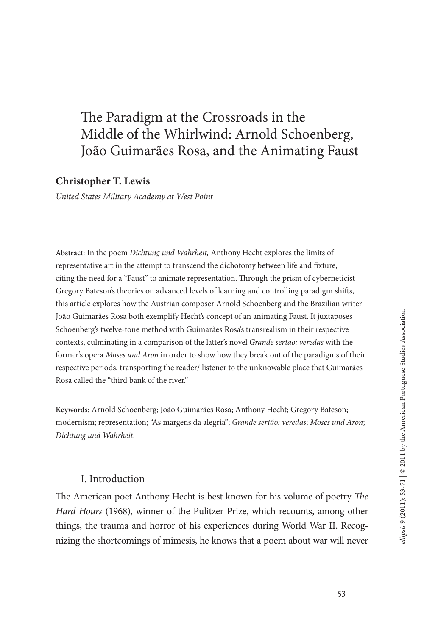# The Paradigm at the Crossroads in the Middle of the Whirlwind: Arnold Schoenberg, João Guimarães Rosa, and the Animating Faust

# **Christopher T. Lewis**

*United States Military Academy at West Point*

**Abstract**: In the poem *Dichtung und Wahrheit,* Anthony Hecht explores the limits of representative art in the attempt to transcend the dichotomy between life and fixture, citing the need for a "Faust" to animate representation. Through the prism of cyberneticist Gregory Bateson's theories on advanced levels of learning and controlling paradigm shifts, this article explores how the Austrian composer Arnold Schoenberg and the Brazilian writer João Guimarães Rosa both exemplify Hecht's concept of an animating Faust. It juxtaposes Schoenberg's twelve-tone method with Guimarães Rosa's transrealism in their respective contexts, culminating in a comparison of the latter's novel *Grande sertão: veredas* with the former's opera *Moses und Aron* in order to show how they break out of the paradigms of their respective periods, transporting the reader/ listener to the unknowable place that Guimarães Rosa called the "third bank of the river."

**Keywords**: Arnold Schoenberg; João Guimarães Rosa; Anthony Hecht; Gregory Bateson; modernism; representation; "As margens da alegria"; *Grande sertão: veredas*; *Moses und Aron*; *Dichtung und Wahrheit*.

#### I. Introduction

The American poet Anthony Hecht is best known for his volume of poetry *The Hard Hours* (1968), winner of the Pulitzer Prize, which recounts, among other things, the trauma and horror of his experiences during World War II. Recognizing the shortcomings of mimesis, he knows that a poem about war will never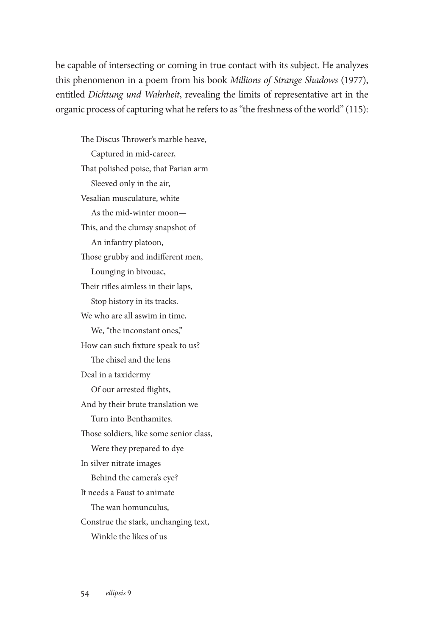be capable of intersecting or coming in true contact with its subject. He analyzes this phenomenon in a poem from his book *Millions of Strange Shadows* (1977), entitled *Dichtung und Wahrheit*, revealing the limits of representative art in the organic process of capturing what he refers to as "the freshness of the world" (115):

The Discus Thrower's marble heave, Captured in mid-career, That polished poise, that Parian arm Sleeved only in the air, Vesalian musculature, white As the mid-winter moon— This, and the clumsy snapshot of An infantry platoon, Those grubby and indifferent men, Lounging in bivouac, Their rifles aimless in their laps, Stop history in its tracks. We who are all aswim in time, We, "the inconstant ones," How can such fixture speak to us? The chisel and the lens Deal in a taxidermy Of our arrested flights, And by their brute translation we Turn into Benthamites. Those soldiers, like some senior class, Were they prepared to dye In silver nitrate images Behind the camera's eye? It needs a Faust to animate The wan homunculus, Construe the stark, unchanging text, Winkle the likes of us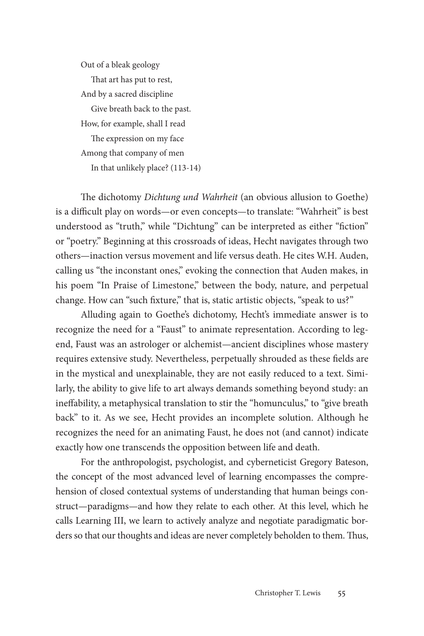Out of a bleak geology That art has put to rest, And by a sacred discipline Give breath back to the past. How, for example, shall I read The expression on my face Among that company of men In that unlikely place? (113-14)

The dichotomy *Dichtung und Wahrheit* (an obvious allusion to Goethe) is a difficult play on words—or even concepts—to translate: "Wahrheit" is best understood as "truth," while "Dichtung" can be interpreted as either "fiction" or "poetry." Beginning at this crossroads of ideas, Hecht navigates through two others—inaction versus movement and life versus death. He cites W.H. Auden, calling us "the inconstant ones," evoking the connection that Auden makes, in his poem "In Praise of Limestone," between the body, nature, and perpetual change. How can "such fixture," that is, static artistic objects, "speak to us?"

Alluding again to Goethe's dichotomy, Hecht's immediate answer is to recognize the need for a "Faust" to animate representation. According to legend, Faust was an astrologer or alchemist—ancient disciplines whose mastery requires extensive study. Nevertheless, perpetually shrouded as these fields are in the mystical and unexplainable, they are not easily reduced to a text. Similarly, the ability to give life to art always demands something beyond study: an ineffability, a metaphysical translation to stir the "homunculus," to "give breath back" to it. As we see, Hecht provides an incomplete solution. Although he recognizes the need for an animating Faust, he does not (and cannot) indicate exactly how one transcends the opposition between life and death.

For the anthropologist, psychologist, and cyberneticist Gregory Bateson, the concept of the most advanced level of learning encompasses the comprehension of closed contextual systems of understanding that human beings construct—paradigms—and how they relate to each other. At this level, which he calls Learning III, we learn to actively analyze and negotiate paradigmatic borders so that our thoughts and ideas are never completely beholden to them. Thus,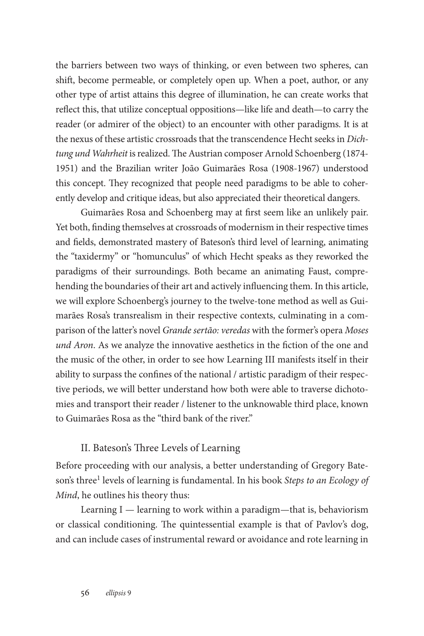the barriers between two ways of thinking, or even between two spheres, can shift, become permeable, or completely open up. When a poet, author, or any other type of artist attains this degree of illumination, he can create works that reflect this, that utilize conceptual oppositions—like life and death—to carry the reader (or admirer of the object) to an encounter with other paradigms. It is at the nexus of these artistic crossroads that the transcendence Hecht seeks in *Dichtung und Wahrheit* is realized. The Austrian composer Arnold Schoenberg (1874- 1951) and the Brazilian writer João Guimarães Rosa (1908-1967) understood this concept. They recognized that people need paradigms to be able to coherently develop and critique ideas, but also appreciated their theoretical dangers.

Guimarães Rosa and Schoenberg may at first seem like an unlikely pair. Yet both, finding themselves at crossroads of modernism in their respective times and fields, demonstrated mastery of Bateson's third level of learning, animating the "taxidermy" or "homunculus" of which Hecht speaks as they reworked the paradigms of their surroundings. Both became an animating Faust, comprehending the boundaries of their art and actively influencing them. In this article, we will explore Schoenberg's journey to the twelve-tone method as well as Guimarães Rosa's transrealism in their respective contexts, culminating in a comparison of the latter's novel *Grande sertão: veredas* with the former's opera *Moses und Aron*. As we analyze the innovative aesthetics in the fiction of the one and the music of the other, in order to see how Learning III manifests itself in their ability to surpass the confines of the national / artistic paradigm of their respective periods, we will better understand how both were able to traverse dichotomies and transport their reader / listener to the unknowable third place, known to Guimarães Rosa as the "third bank of the river."

# II. Bateson's Three Levels of Learning

Before proceeding with our analysis, a better understanding of Gregory Bateson's three1 levels of learning is fundamental. In his book *Steps to an Ecology of Mind*, he outlines his theory thus:

Learning I — learning to work within a paradigm—that is, behaviorism or classical conditioning. The quintessential example is that of Pavlov's dog, and can include cases of instrumental reward or avoidance and rote learning in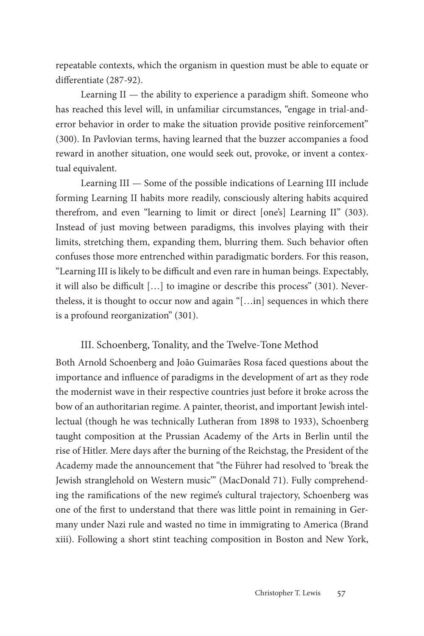repeatable contexts, which the organism in question must be able to equate or differentiate (287-92).

Learning  $II$  — the ability to experience a paradigm shift. Someone who has reached this level will, in unfamiliar circumstances, "engage in trial-anderror behavior in order to make the situation provide positive reinforcement" (300). In Pavlovian terms, having learned that the buzzer accompanies a food reward in another situation, one would seek out, provoke, or invent a contextual equivalent.

Learning III — Some of the possible indications of Learning III include forming Learning II habits more readily, consciously altering habits acquired therefrom, and even "learning to limit or direct [one's] Learning II" (303). Instead of just moving between paradigms, this involves playing with their limits, stretching them, expanding them, blurring them. Such behavior often confuses those more entrenched within paradigmatic borders. For this reason, "Learning III is likely to be difficult and even rare in human beings. Expectably, it will also be difficult […] to imagine or describe this process" (301). Nevertheless, it is thought to occur now and again "[…in] sequences in which there is a profound reorganization" (301).

#### III. Schoenberg, Tonality, and the Twelve-Tone Method

Both Arnold Schoenberg and João Guimarães Rosa faced questions about the importance and influence of paradigms in the development of art as they rode the modernist wave in their respective countries just before it broke across the bow of an authoritarian regime. A painter, theorist, and important Jewish intellectual (though he was technically Lutheran from 1898 to 1933), Schoenberg taught composition at the Prussian Academy of the Arts in Berlin until the rise of Hitler. Mere days after the burning of the Reichstag, the President of the Academy made the announcement that "the Führer had resolved to 'break the Jewish stranglehold on Western music'" (MacDonald 71). Fully comprehending the ramifications of the new regime's cultural trajectory, Schoenberg was one of the first to understand that there was little point in remaining in Germany under Nazi rule and wasted no time in immigrating to America (Brand xiii). Following a short stint teaching composition in Boston and New York,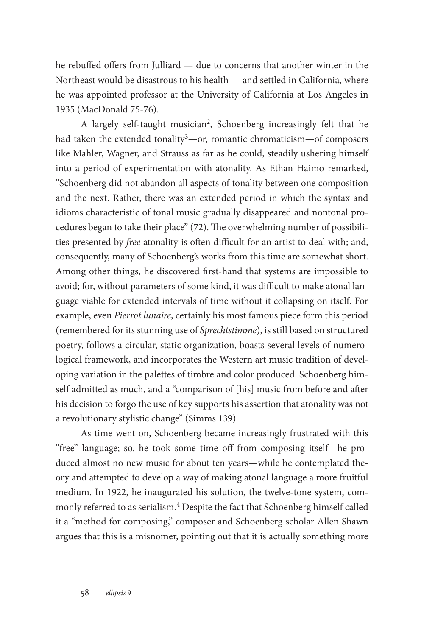he rebuffed offers from Julliard — due to concerns that another winter in the Northeast would be disastrous to his health — and settled in California, where he was appointed professor at the University of California at Los Angeles in 1935 (MacDonald 75-76).

A largely self-taught musician<sup>2</sup>, Schoenberg increasingly felt that he had taken the extended tonality<sup>3</sup>—or, romantic chromaticism—of composers like Mahler, Wagner, and Strauss as far as he could, steadily ushering himself into a period of experimentation with atonality. As Ethan Haimo remarked, "Schoenberg did not abandon all aspects of tonality between one composition and the next. Rather, there was an extended period in which the syntax and idioms characteristic of tonal music gradually disappeared and nontonal procedures began to take their place" (72). The overwhelming number of possibilities presented by *free* atonality is often difficult for an artist to deal with; and, consequently, many of Schoenberg's works from this time are somewhat short. Among other things, he discovered first-hand that systems are impossible to avoid; for, without parameters of some kind, it was difficult to make atonal language viable for extended intervals of time without it collapsing on itself. For example, even *Pierrot lunaire*, certainly his most famous piece form this period (remembered for its stunning use of *Sprechtstimme*), is still based on structured poetry, follows a circular, static organization, boasts several levels of numerological framework, and incorporates the Western art music tradition of developing variation in the palettes of timbre and color produced. Schoenberg himself admitted as much, and a "comparison of [his] music from before and after his decision to forgo the use of key supports his assertion that atonality was not a revolutionary stylistic change" (Simms 139).

As time went on, Schoenberg became increasingly frustrated with this "free" language; so, he took some time off from composing itself—he produced almost no new music for about ten years—while he contemplated theory and attempted to develop a way of making atonal language a more fruitful medium. In 1922, he inaugurated his solution, the twelve-tone system, commonly referred to as serialism.<sup>4</sup> Despite the fact that Schoenberg himself called it a "method for composing," composer and Schoenberg scholar Allen Shawn argues that this is a misnomer, pointing out that it is actually something more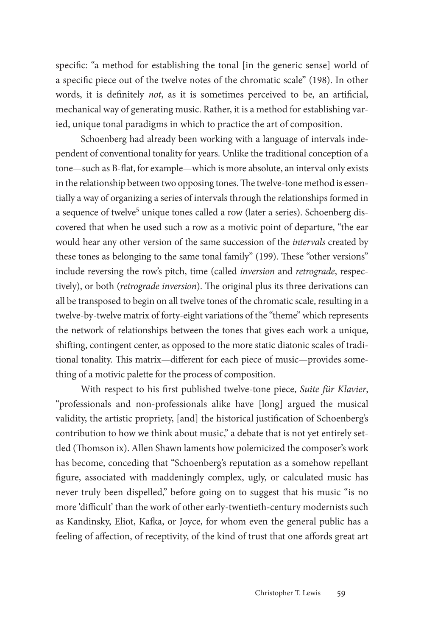specific: "a method for establishing the tonal [in the generic sense] world of a specific piece out of the twelve notes of the chromatic scale" (198). In other words, it is definitely *not*, as it is sometimes perceived to be, an artificial, mechanical way of generating music. Rather, it is a method for establishing varied, unique tonal paradigms in which to practice the art of composition.

Schoenberg had already been working with a language of intervals independent of conventional tonality for years. Unlike the traditional conception of a tone—such as B-flat, for example—which is more absolute, an interval only exists in the relationship between two opposing tones. The twelve-tone method is essentially a way of organizing a series of intervals through the relationships formed in a sequence of twelve<sup>5</sup> unique tones called a row (later a series). Schoenberg discovered that when he used such a row as a motivic point of departure, "the ear would hear any other version of the same succession of the *intervals* created by these tones as belonging to the same tonal family" (199). These "other versions" include reversing the row's pitch, time (called *inversion* and *retrograde*, respectively), or both (*retrograde inversion*). The original plus its three derivations can all be transposed to begin on all twelve tones of the chromatic scale, resulting in a twelve-by-twelve matrix of forty-eight variations of the "theme" which represents the network of relationships between the tones that gives each work a unique, shifting, contingent center, as opposed to the more static diatonic scales of traditional tonality. This matrix—different for each piece of music—provides something of a motivic palette for the process of composition.

With respect to his first published twelve-tone piece, *Suite für Klavier*, "professionals and non-professionals alike have [long] argued the musical validity, the artistic propriety, [and] the historical justification of Schoenberg's contribution to how we think about music," a debate that is not yet entirely settled (Thomson ix). Allen Shawn laments how polemicized the composer's work has become, conceding that "Schoenberg's reputation as a somehow repellant figure, associated with maddeningly complex, ugly, or calculated music has never truly been dispelled," before going on to suggest that his music "is no more 'difficult' than the work of other early-twentieth-century modernists such as Kandinsky, Eliot, Kafka, or Joyce, for whom even the general public has a feeling of affection, of receptivity, of the kind of trust that one affords great art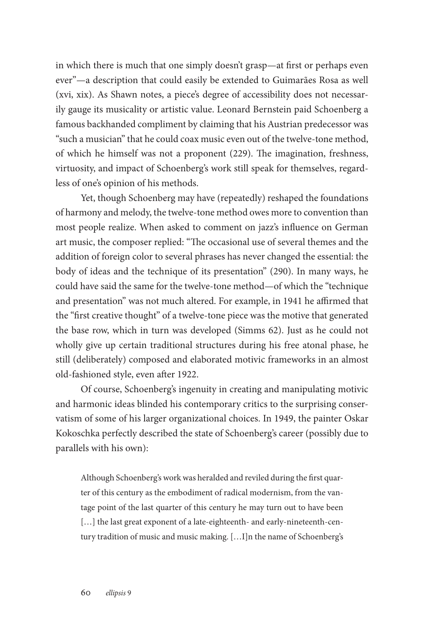in which there is much that one simply doesn't grasp—at first or perhaps even ever"—a description that could easily be extended to Guimarães Rosa as well (xvi, xix). As Shawn notes, a piece's degree of accessibility does not necessarily gauge its musicality or artistic value. Leonard Bernstein paid Schoenberg a famous backhanded compliment by claiming that his Austrian predecessor was "such a musician" that he could coax music even out of the twelve-tone method, of which he himself was not a proponent (229). The imagination, freshness, virtuosity, and impact of Schoenberg's work still speak for themselves, regardless of one's opinion of his methods.

Yet, though Schoenberg may have (repeatedly) reshaped the foundations of harmony and melody, the twelve-tone method owes more to convention than most people realize. When asked to comment on jazz's influence on German art music, the composer replied: "The occasional use of several themes and the addition of foreign color to several phrases has never changed the essential: the body of ideas and the technique of its presentation" (290). In many ways, he could have said the same for the twelve-tone method—of which the "technique and presentation" was not much altered. For example, in 1941 he affirmed that the "first creative thought" of a twelve-tone piece was the motive that generated the base row, which in turn was developed (Simms 62). Just as he could not wholly give up certain traditional structures during his free atonal phase, he still (deliberately) composed and elaborated motivic frameworks in an almost old-fashioned style, even after 1922.

Of course, Schoenberg's ingenuity in creating and manipulating motivic and harmonic ideas blinded his contemporary critics to the surprising conservatism of some of his larger organizational choices. In 1949, the painter Oskar Kokoschka perfectly described the state of Schoenberg's career (possibly due to parallels with his own):

Although Schoenberg's work was heralded and reviled during the first quarter of this century as the embodiment of radical modernism, from the vantage point of the last quarter of this century he may turn out to have been [...] the last great exponent of a late-eighteenth- and early-nineteenth-century tradition of music and music making. […I]n the name of Schoenberg's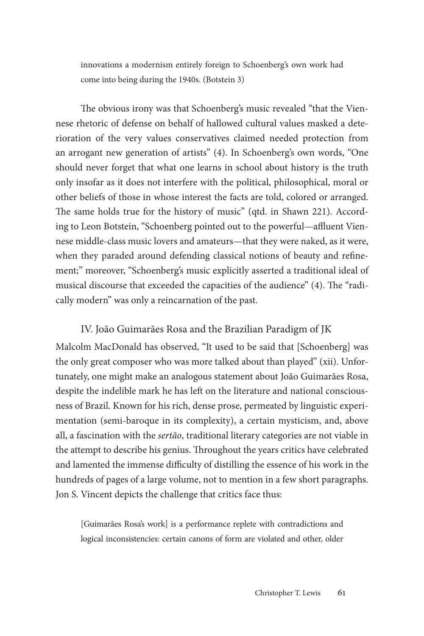innovations a modernism entirely foreign to Schoenberg's own work had come into being during the 1940s. (Botstein 3)

The obvious irony was that Schoenberg's music revealed "that the Viennese rhetoric of defense on behalf of hallowed cultural values masked a deterioration of the very values conservatives claimed needed protection from an arrogant new generation of artists" (4). In Schoenberg's own words, "One should never forget that what one learns in school about history is the truth only insofar as it does not interfere with the political, philosophical, moral or other beliefs of those in whose interest the facts are told, colored or arranged. The same holds true for the history of music" (qtd. in Shawn 221). According to Leon Botstein, "Schoenberg pointed out to the powerful—affluent Viennese middle-class music lovers and amateurs—that they were naked, as it were, when they paraded around defending classical notions of beauty and refinement;" moreover, "Schoenberg's music explicitly asserted a traditional ideal of musical discourse that exceeded the capacities of the audience" (4). The "radically modern" was only a reincarnation of the past.

#### IV. João Guimarães Rosa and the Brazilian Paradigm of JK

Malcolm MacDonald has observed, "It used to be said that [Schoenberg] was the only great composer who was more talked about than played" (xii). Unfortunately, one might make an analogous statement about João Guimarães Rosa, despite the indelible mark he has left on the literature and national consciousness of Brazil. Known for his rich, dense prose, permeated by linguistic experimentation (semi-baroque in its complexity), a certain mysticism, and, above all, a fascination with the *sertão*, traditional literary categories are not viable in the attempt to describe his genius. Throughout the years critics have celebrated and lamented the immense difficulty of distilling the essence of his work in the hundreds of pages of a large volume, not to mention in a few short paragraphs. Jon S. Vincent depicts the challenge that critics face thus:

[Guimarães Rosa's work] is a performance replete with contradictions and logical inconsistencies: certain canons of form are violated and other, older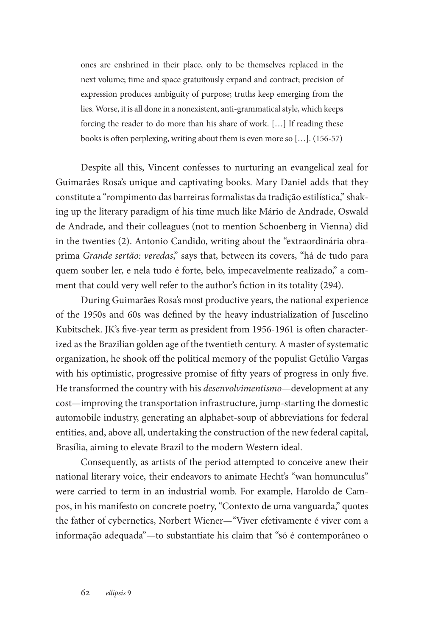ones are enshrined in their place, only to be themselves replaced in the next volume; time and space gratuitously expand and contract; precision of expression produces ambiguity of purpose; truths keep emerging from the lies. Worse, it is all done in a nonexistent, anti-grammatical style, which keeps forcing the reader to do more than his share of work. […] If reading these books is often perplexing, writing about them is even more so […]. (156-57)

Despite all this, Vincent confesses to nurturing an evangelical zeal for Guimarães Rosa's unique and captivating books. Mary Daniel adds that they constitute a "rompimento das barreiras formalistas da tradição estilística," shaking up the literary paradigm of his time much like Mário de Andrade, Oswald de Andrade, and their colleagues (not to mention Schoenberg in Vienna) did in the twenties (2). Antonio Candido, writing about the "extraordinária obraprima *Grande sertão: veredas*," says that, between its covers, "há de tudo para quem souber ler, e nela tudo é forte, belo, impecavelmente realizado," a comment that could very well refer to the author's fiction in its totality (294).

During Guimarães Rosa's most productive years, the national experience of the 1950s and 60s was defined by the heavy industrialization of Juscelino Kubitschek. JK's five-year term as president from 1956-1961 is often characterized as the Brazilian golden age of the twentieth century. A master of systematic organization, he shook off the political memory of the populist Getúlio Vargas with his optimistic, progressive promise of fifty years of progress in only five. He transformed the country with his *desenvolvimentismo*—development at any cost—improving the transportation infrastructure, jump-starting the domestic automobile industry, generating an alphabet-soup of abbreviations for federal entities, and, above all, undertaking the construction of the new federal capital, Brasília, aiming to elevate Brazil to the modern Western ideal.

Consequently, as artists of the period attempted to conceive anew their national literary voice, their endeavors to animate Hecht's "wan homunculus" were carried to term in an industrial womb. For example, Haroldo de Campos, in his manifesto on concrete poetry, "Contexto de uma vanguarda," quotes the father of cybernetics, Norbert Wiener—"Viver efetivamente é viver com a informação adequada"—to substantiate his claim that "só é contemporâneo o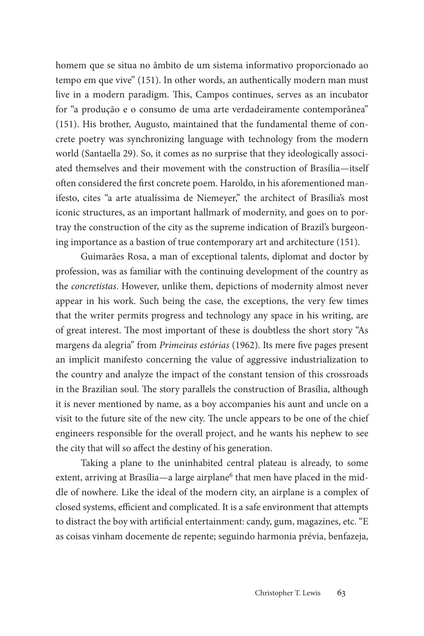homem que se situa no âmbito de um sistema informativo proporcionado ao tempo em que vive" (151). In other words, an authentically modern man must live in a modern paradigm. This, Campos continues, serves as an incubator for "a produção e o consumo de uma arte verdadeiramente contemporânea" (151). His brother, Augusto, maintained that the fundamental theme of concrete poetry was synchronizing language with technology from the modern world (Santaella 29). So, it comes as no surprise that they ideologically associated themselves and their movement with the construction of Brasília—itself often considered the first concrete poem. Haroldo, in his aforementioned manifesto, cites "a arte atualíssima de Niemeyer," the architect of Brasília's most iconic structures, as an important hallmark of modernity, and goes on to portray the construction of the city as the supreme indication of Brazil's burgeoning importance as a bastion of true contemporary art and architecture (151).

Guimarães Rosa, a man of exceptional talents, diplomat and doctor by profession, was as familiar with the continuing development of the country as the *concretistas*. However, unlike them, depictions of modernity almost never appear in his work. Such being the case, the exceptions, the very few times that the writer permits progress and technology any space in his writing, are of great interest. The most important of these is doubtless the short story "As margens da alegria" from *Primeiras estórias* (1962). Its mere five pages present an implicit manifesto concerning the value of aggressive industrialization to the country and analyze the impact of the constant tension of this crossroads in the Brazilian soul. The story parallels the construction of Brasília, although it is never mentioned by name, as a boy accompanies his aunt and uncle on a visit to the future site of the new city. The uncle appears to be one of the chief engineers responsible for the overall project, and he wants his nephew to see the city that will so affect the destiny of his generation.

Taking a plane to the uninhabited central plateau is already, to some extent, arriving at Brasília—a large airplane<sup>6</sup> that men have placed in the middle of nowhere. Like the ideal of the modern city, an airplane is a complex of closed systems, efficient and complicated. It is a safe environment that attempts to distract the boy with artificial entertainment: candy, gum, magazines, etc. "E as coisas vinham docemente de repente; seguindo harmonia prévia, benfazeja,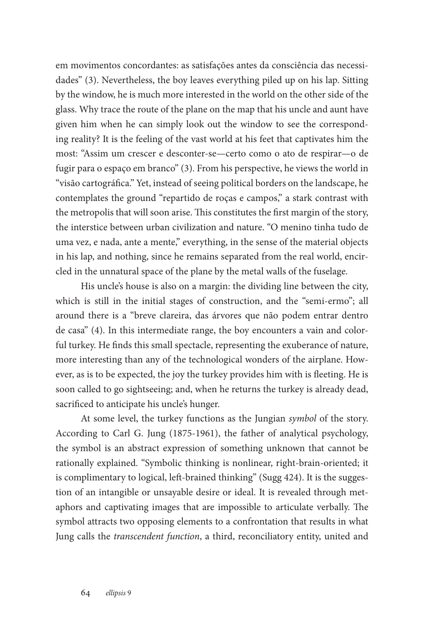em movimentos concordantes: as satisfações antes da consciência das necessidades" (3). Nevertheless, the boy leaves everything piled up on his lap. Sitting by the window, he is much more interested in the world on the other side of the glass. Why trace the route of the plane on the map that his uncle and aunt have given him when he can simply look out the window to see the corresponding reality? It is the feeling of the vast world at his feet that captivates him the most: "Assim um crescer e desconter-se—certo como o ato de respirar—o de fugir para o espaço em branco" (3). From his perspective, he views the world in "visão cartográfica." Yet, instead of seeing political borders on the landscape, he contemplates the ground "repartido de roças e campos," a stark contrast with the metropolis that will soon arise. This constitutes the first margin of the story, the interstice between urban civilization and nature. "O menino tinha tudo de uma vez, e nada, ante a mente," everything, in the sense of the material objects in his lap, and nothing, since he remains separated from the real world, encircled in the unnatural space of the plane by the metal walls of the fuselage.

His uncle's house is also on a margin: the dividing line between the city, which is still in the initial stages of construction, and the "semi-ermo"; all around there is a "breve clareira, das árvores que não podem entrar dentro de casa" (4). In this intermediate range, the boy encounters a vain and colorful turkey. He finds this small spectacle, representing the exuberance of nature, more interesting than any of the technological wonders of the airplane. However, as is to be expected, the joy the turkey provides him with is fleeting. He is soon called to go sightseeing; and, when he returns the turkey is already dead, sacrificed to anticipate his uncle's hunger.

At some level, the turkey functions as the Jungian *symbol* of the story. According to Carl G. Jung (1875-1961), the father of analytical psychology, the symbol is an abstract expression of something unknown that cannot be rationally explained. "Symbolic thinking is nonlinear, right-brain-oriented; it is complimentary to logical, left-brained thinking" (Sugg 424). It is the suggestion of an intangible or unsayable desire or ideal. It is revealed through metaphors and captivating images that are impossible to articulate verbally. The symbol attracts two opposing elements to a confrontation that results in what Jung calls the *transcendent function*, a third, reconciliatory entity, united and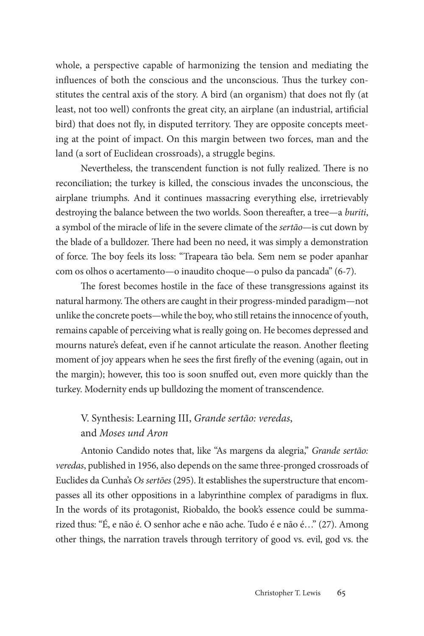whole, a perspective capable of harmonizing the tension and mediating the influences of both the conscious and the unconscious. Thus the turkey constitutes the central axis of the story. A bird (an organism) that does not fly (at least, not too well) confronts the great city, an airplane (an industrial, artificial bird) that does not fly, in disputed territory. They are opposite concepts meeting at the point of impact. On this margin between two forces, man and the land (a sort of Euclidean crossroads), a struggle begins.

Nevertheless, the transcendent function is not fully realized. There is no reconciliation; the turkey is killed, the conscious invades the unconscious, the airplane triumphs. And it continues massacring everything else, irretrievably destroying the balance between the two worlds. Soon thereafter, a tree—a *buriti*, a symbol of the miracle of life in the severe climate of the *sertão*—is cut down by the blade of a bulldozer. There had been no need, it was simply a demonstration of force. The boy feels its loss: "Trapeara tão bela. Sem nem se poder apanhar com os olhos o acertamento—o inaudito choque—o pulso da pancada" (6-7).

The forest becomes hostile in the face of these transgressions against its natural harmony. The others are caught in their progress-minded paradigm—not unlike the concrete poets—while the boy, who still retains the innocence of youth, remains capable of perceiving what is really going on. He becomes depressed and mourns nature's defeat, even if he cannot articulate the reason. Another fleeting moment of joy appears when he sees the first firefly of the evening (again, out in the margin); however, this too is soon snuffed out, even more quickly than the turkey. Modernity ends up bulldozing the moment of transcendence.

# V. Synthesis: Learning III, *Grande sertão: veredas*, and *Moses und Aron*

Antonio Candido notes that, like "As margens da alegria," *Grande sertão: veredas*, published in 1956, also depends on the same three-pronged crossroads of Euclides da Cunha's *Os sertões* (295). It establishes the superstructure that encompasses all its other oppositions in a labyrinthine complex of paradigms in flux. In the words of its protagonist, Riobaldo, the book's essence could be summarized thus: "É, e não é. O senhor ache e não ache. Tudo é e não é…" (27). Among other things, the narration travels through territory of good vs. evil, god vs. the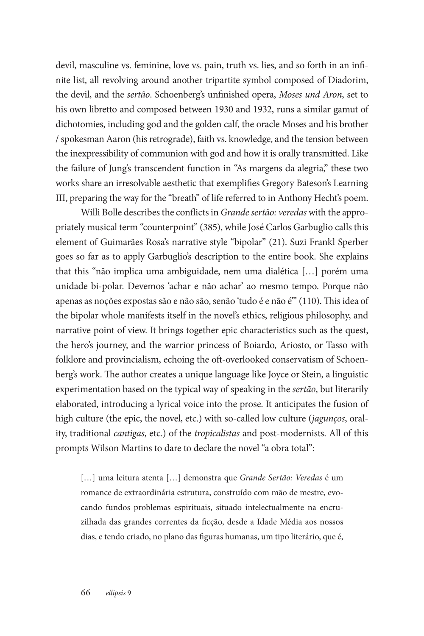devil, masculine vs. feminine, love vs. pain, truth vs. lies, and so forth in an infinite list, all revolving around another tripartite symbol composed of Diadorim, the devil, and the *sertão*. Schoenberg's unfinished opera, *Moses und Aron*, set to his own libretto and composed between 1930 and 1932, runs a similar gamut of dichotomies, including god and the golden calf, the oracle Moses and his brother / spokesman Aaron (his retrograde), faith vs. knowledge, and the tension between the inexpressibility of communion with god and how it is orally transmitted. Like the failure of Jung's transcendent function in "As margens da alegria," these two works share an irresolvable aesthetic that exemplifies Gregory Bateson's Learning III, preparing the way for the "breath" of life referred to in Anthony Hecht's poem.

Willi Bolle describes the conflicts in *Grande sertão: veredas* with the appropriately musical term "counterpoint" (385), while José Carlos Garbuglio calls this element of Guimarães Rosa's narrative style "bipolar" (21). Suzi Frankl Sperber goes so far as to apply Garbuglio's description to the entire book. She explains that this "não implica uma ambiguidade, nem uma dialética […] porém uma unidade bi-polar. Devemos 'achar e não achar' ao mesmo tempo. Porque não apenas as noções expostas são e não são, senão 'tudo é e não é'" (110). This idea of the bipolar whole manifests itself in the novel's ethics, religious philosophy, and narrative point of view. It brings together epic characteristics such as the quest, the hero's journey, and the warrior princess of Boiardo, Ariosto, or Tasso with folklore and provincialism, echoing the oft-overlooked conservatism of Schoenberg's work. The author creates a unique language like Joyce or Stein, a linguistic experimentation based on the typical way of speaking in the *sertão*, but literarily elaborated, introducing a lyrical voice into the prose. It anticipates the fusion of high culture (the epic, the novel, etc.) with so-called low culture (*jagunços*, orality, traditional *cantigas*, etc.) of the *tropicalistas* and post-modernists. All of this prompts Wilson Martins to dare to declare the novel "a obra total":

[…] uma leitura atenta […] demonstra que *Grande Sertão: Veredas* é um romance de extraordinária estrutura, construído com mão de mestre, evocando fundos problemas espirituais, situado intelectualmente na encruzilhada das grandes correntes da ficção, desde a Idade Média aos nossos dias, e tendo criado, no plano das figuras humanas, um tipo literário, que é,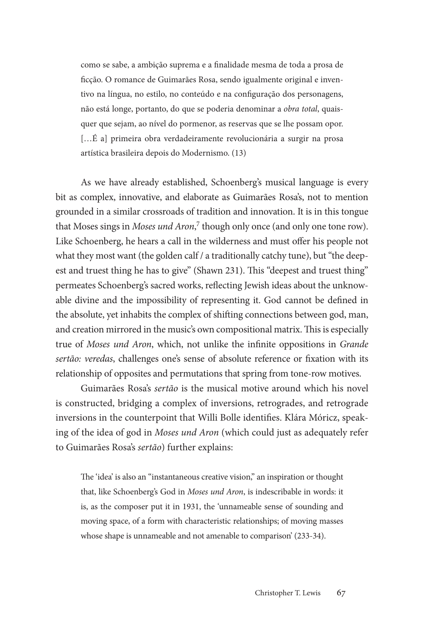como se sabe, a ambição suprema e a finalidade mesma de toda a prosa de ficção. O romance de Guimarães Rosa, sendo igualmente original e inventivo na língua, no estilo, no conteúdo e na configuração dos personagens, não está longe, portanto, do que se poderia denominar a *obra total*, quaisquer que sejam, ao nível do pormenor, as reservas que se lhe possam opor. […É a] primeira obra verdadeiramente revolucionária a surgir na prosa artística brasileira depois do Modernismo. (13)

As we have already established, Schoenberg's musical language is every bit as complex, innovative, and elaborate as Guimarães Rosa's, not to mention grounded in a similar crossroads of tradition and innovation. It is in this tongue that Moses sings in *Moses und Aron*, 7 though only once (and only one tone row). Like Schoenberg, he hears a call in the wilderness and must offer his people not what they most want (the golden calf / a traditionally catchy tune), but "the deepest and truest thing he has to give" (Shawn 231). This "deepest and truest thing" permeates Schoenberg's sacred works, reflecting Jewish ideas about the unknowable divine and the impossibility of representing it. God cannot be defined in the absolute, yet inhabits the complex of shifting connections between god, man, and creation mirrored in the music's own compositional matrix. This is especially true of *Moses und Aron*, which, not unlike the infinite oppositions in *Grande sertão: veredas*, challenges one's sense of absolute reference or fixation with its relationship of opposites and permutations that spring from tone-row motives.

Guimarães Rosa's *sertão* is the musical motive around which his novel is constructed, bridging a complex of inversions, retrogrades, and retrograde inversions in the counterpoint that Willi Bolle identifies. Klára Móricz, speaking of the idea of god in *Moses und Aron* (which could just as adequately refer to Guimarães Rosa's *sertão*) further explains:

The 'idea' is also an "instantaneous creative vision," an inspiration or thought that, like Schoenberg's God in *Moses und Aron*, is indescribable in words: it is, as the composer put it in 1931, the 'unnameable sense of sounding and moving space, of a form with characteristic relationships; of moving masses whose shape is unnameable and not amenable to comparison' (233-34).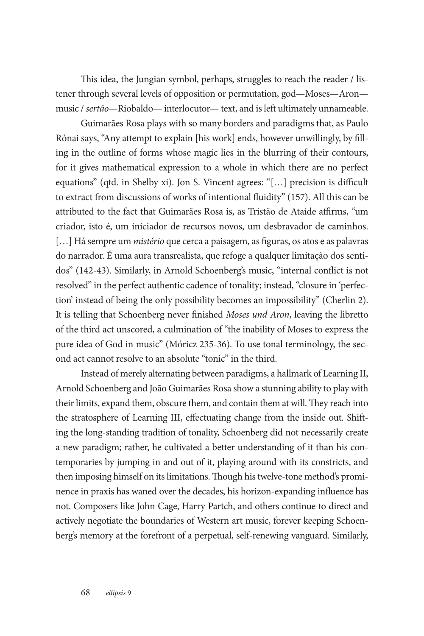This idea, the Jungian symbol, perhaps, struggles to reach the reader / listener through several levels of opposition or permutation, god—Moses—Aron music / *sertão*—Riobaldo— interlocutor— text, and is left ultimately unnameable.

Guimarães Rosa plays with so many borders and paradigms that, as Paulo Rónai says, "Any attempt to explain [his work] ends, however unwillingly, by filling in the outline of forms whose magic lies in the blurring of their contours, for it gives mathematical expression to a whole in which there are no perfect equations" (qtd. in Shelby xi). Jon S. Vincent agrees: "[…] precision is difficult to extract from discussions of works of intentional fluidity" (157). All this can be attributed to the fact that Guimarães Rosa is, as Tristão de Ataíde affirms, "um criador, isto é, um iniciador de recursos novos, um desbravador de caminhos. [...] Há sempre um *mistério* que cerca a paisagem, as figuras, os atos e as palavras do narrador. É uma aura transrealista, que refoge a qualquer limitação dos sentidos" (142-43). Similarly, in Arnold Schoenberg's music, "internal conflict is not resolved" in the perfect authentic cadence of tonality; instead, "closure in 'perfection' instead of being the only possibility becomes an impossibility" (Cherlin 2). It is telling that Schoenberg never finished *Moses und Aron*, leaving the libretto of the third act unscored, a culmination of "the inability of Moses to express the pure idea of God in music" (Móricz 235-36). To use tonal terminology, the second act cannot resolve to an absolute "tonic" in the third.

Instead of merely alternating between paradigms, a hallmark of Learning II, Arnold Schoenberg and João Guimarães Rosa show a stunning ability to play with their limits, expand them, obscure them, and contain them at will. They reach into the stratosphere of Learning III, effectuating change from the inside out. Shifting the long-standing tradition of tonality, Schoenberg did not necessarily create a new paradigm; rather, he cultivated a better understanding of it than his contemporaries by jumping in and out of it, playing around with its constricts, and then imposing himself on its limitations. Though his twelve-tone method's prominence in praxis has waned over the decades, his horizon-expanding influence has not. Composers like John Cage, Harry Partch, and others continue to direct and actively negotiate the boundaries of Western art music, forever keeping Schoenberg's memory at the forefront of a perpetual, self-renewing vanguard. Similarly,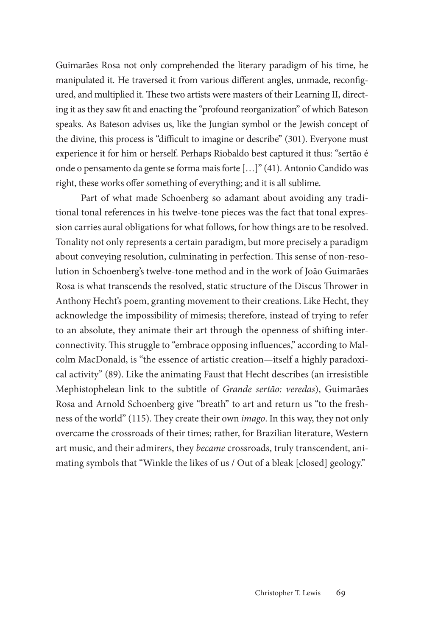Guimarães Rosa not only comprehended the literary paradigm of his time, he manipulated it. He traversed it from various different angles, unmade, reconfigured, and multiplied it. These two artists were masters of their Learning II, directing it as they saw fit and enacting the "profound reorganization" of which Bateson speaks. As Bateson advises us, like the Jungian symbol or the Jewish concept of the divine, this process is "difficult to imagine or describe" (301). Everyone must experience it for him or herself. Perhaps Riobaldo best captured it thus: "sertão é onde o pensamento da gente se forma mais forte […]" (41). Antonio Candido was right, these works offer something of everything; and it is all sublime.

Part of what made Schoenberg so adamant about avoiding any traditional tonal references in his twelve-tone pieces was the fact that tonal expression carries aural obligations for what follows, for how things are to be resolved. Tonality not only represents a certain paradigm, but more precisely a paradigm about conveying resolution, culminating in perfection. This sense of non-resolution in Schoenberg's twelve-tone method and in the work of João Guimarães Rosa is what transcends the resolved, static structure of the Discus Thrower in Anthony Hecht's poem, granting movement to their creations. Like Hecht, they acknowledge the impossibility of mimesis; therefore, instead of trying to refer to an absolute, they animate their art through the openness of shifting interconnectivity. This struggle to "embrace opposing influences," according to Malcolm MacDonald, is "the essence of artistic creation—itself a highly paradoxical activity" (89). Like the animating Faust that Hecht describes (an irresistible Mephistophelean link to the subtitle of *Grande sertão: veredas*), Guimarães Rosa and Arnold Schoenberg give "breath" to art and return us "to the freshness of the world" (115). They create their own *imago*. In this way, they not only overcame the crossroads of their times; rather, for Brazilian literature, Western art music, and their admirers, they *became* crossroads, truly transcendent, animating symbols that "Winkle the likes of us / Out of a bleak [closed] geology."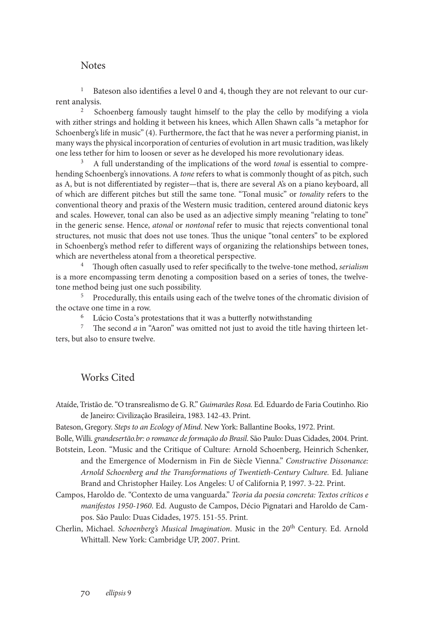#### **Notes**

<sup>1</sup> Bateson also identifies a level 0 and 4, though they are not relevant to our current analysis.

2 Schoenberg famously taught himself to the play the cello by modifying a viola with zither strings and holding it between his knees, which Allen Shawn calls "a metaphor for Schoenberg's life in music" (4). Furthermore, the fact that he was never a performing pianist, in many ways the physical incorporation of centuries of evolution in art music tradition, was likely one less tether for him to loosen or sever as he developed his more revolutionary ideas.

<sup>3</sup> A full understanding of the implications of the word *tonal* is essential to comprehending Schoenberg's innovations. A *tone* refers to what is commonly thought of as pitch, such as A, but is not differentiated by register—that is, there are several A's on a piano keyboard, all of which are different pitches but still the same tone. "Tonal music" or *tonality* refers to the conventional theory and praxis of the Western music tradition, centered around diatonic keys and scales. However, tonal can also be used as an adjective simply meaning "relating to tone" in the generic sense. Hence, *atonal* or *nontonal* refer to music that rejects conventional tonal structures, not music that does not use tones. Thus the unique "tonal centers" to be explored in Schoenberg's method refer to different ways of organizing the relationships between tones, which are nevertheless atonal from a theoretical perspective.

4 Though often casually used to refer specifically to the twelve-tone method, *serialism* is a more encompassing term denoting a composition based on a series of tones, the twelvetone method being just one such possibility.

<sup>5</sup> Procedurally, this entails using each of the twelve tones of the chromatic division of the octave one time in a row.

<sup>6</sup> Lúcio Costa's protestations that it was a butterfly notwithstanding

7 The second *a* in "Aaron" was omitted not just to avoid the title having thirteen letters, but also to ensure twelve.

### Works Cited

Ataíde, Tristão de. "O transrealismo de G. R." *Guimarães Rosa.* Ed. Eduardo de Faria Coutinho. Rio de Janeiro: Civilização Brasileira, 1983. 142-43. Print.

Bateson, Gregory. *Steps to an Ecology of Mind*. New York: Ballantine Books, 1972. Print.

Bolle, Willi. *grandesertão.br: o romance de formação do Brasil*. São Paulo: Duas Cidades, 2004. Print. Botstein, Leon. "Music and the Critique of Culture: Arnold Schoenberg, Heinrich Schenker,

and the Emergence of Modernism in Fin de Siècle Vienna." *Constructive Dissonance: Arnold Schoenberg and the Transformations of Twentieth-Century Culture.* Ed. Juliane Brand and Christopher Hailey. Los Angeles: U of California P, 1997. 3-22. Print.

- Campos, Haroldo de. "Contexto de uma vanguarda." *Teoria da poesia concreta: Textos críticos e manifestos 1950-1960*. Ed. Augusto de Campos, Décio Pignatari and Haroldo de Campos. São Paulo: Duas Cidades, 1975. 151-55. Print.
- Cherlin, Michael. *Schoenberg's Musical Imagination*. Music in the 20<sup>th</sup> Century. Ed. Arnold Whittall. New York: Cambridge UP, 2007. Print.